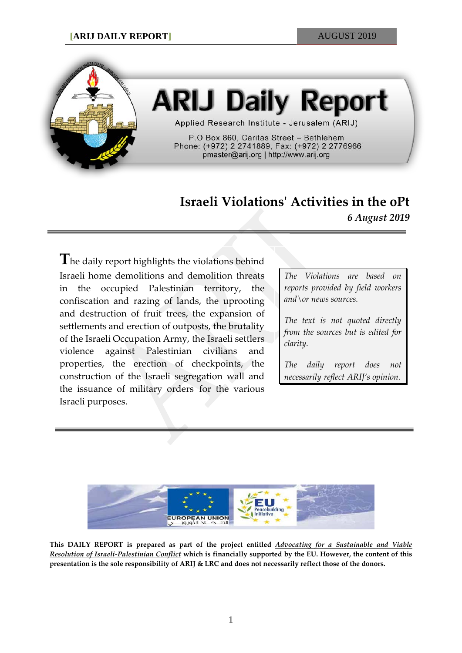

# **ARIJ Daily Report**

Applied Research Institute - Jerusalem (ARIJ)

P.O Box 860, Caritas Street - Bethlehem Phone: (+972) 2 2741889, Fax: (+972) 2 2776966 pmaster@arij.org | http://www.arij.org

# **Israeli Violations' Activities in the oPt** *6 August 2019*

**T**he daily report highlights the violations behind Israeli home demolitions and demolition threats in the occupied Palestinian territory, the confiscation and razing of lands, the uprooting and destruction of fruit trees, the expansion of settlements and erection of outposts, the brutality of the Israeli Occupation Army, the Israeli settlers violence against Palestinian civilians and properties, the erection of checkpoints, the construction of the Israeli segregation wall and the issuance of military orders for the various Israeli purposes.

*The Violations are based on reports provided by field workers and\or news sources.*

*The text is not quoted directly from the sources but is edited for clarity.*

*The daily report does not necessarily reflect ARIJ's opinion.*



**This DAILY REPORT is prepared as part of the project entitled** *Advocating for a Sustainable and Viable Resolution of Israeli-Palestinian Conflict* **which is financially supported by the EU. However, the content of this presentation is the sole responsibility of ARIJ & LRC and does not necessarily reflect those of the donors.**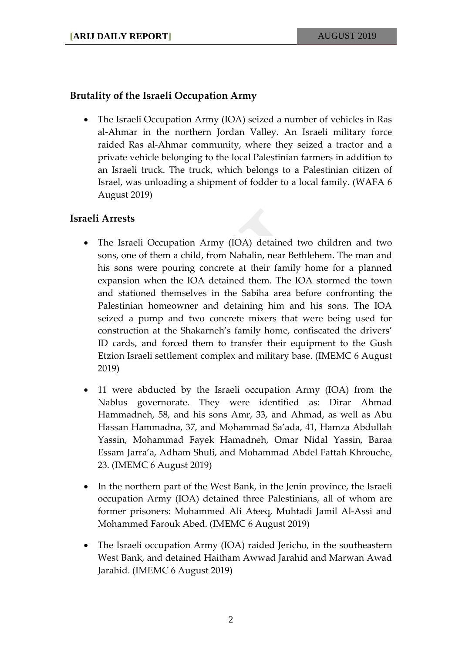## **Brutality of the Israeli Occupation Army**

• The Israeli Occupation Army (IOA) seized a number of vehicles in Ras al-Ahmar in the northern Jordan Valley. An Israeli military force raided Ras al-Ahmar community, where they seized a tractor and a private vehicle belonging to the local Palestinian farmers in addition to an Israeli truck. The truck, which belongs to a Palestinian citizen of Israel, was unloading a shipment of fodder to a local family. (WAFA 6 August 2019)

#### **Israeli Arrests**

- The Israeli Occupation Army (IOA) detained two children and two sons, one of them a child, from Nahalin, near Bethlehem. The man and his sons were pouring concrete at their family home for a planned expansion when the IOA detained them. The IOA stormed the town and stationed themselves in the Sabiha area before confronting the Palestinian homeowner and detaining him and his sons. The IOA seized a pump and two concrete mixers that were being used for construction at the Shakarneh's family home, confiscated the drivers' ID cards, and forced them to transfer their equipment to the Gush Etzion Israeli settlement complex and military base. (IMEMC 6 August 2019)
- 11 were abducted by the Israeli occupation Army (IOA) from the Nablus governorate. They were identified as: Dirar Ahmad Hammadneh, 58, and his sons Amr, 33, and Ahmad, as well as Abu Hassan Hammadna, 37, and Mohammad Sa'ada, 41, Hamza Abdullah Yassin, Mohammad Fayek Hamadneh, Omar Nidal Yassin, Baraa Essam Jarra'a, Adham Shuli, and Mohammad Abdel Fattah Khrouche, 23. (IMEMC 6 August 2019)
- In the northern part of the West Bank, in the Jenin province, the Israeli occupation Army (IOA) detained three Palestinians, all of whom are former prisoners: Mohammed Ali Ateeq, Muhtadi Jamil Al-Assi and Mohammed Farouk Abed. (IMEMC 6 August 2019)
- The Israeli occupation Army (IOA) raided Jericho, in the southeastern West Bank, and detained Haitham Awwad Jarahid and Marwan Awad Jarahid. (IMEMC 6 August 2019)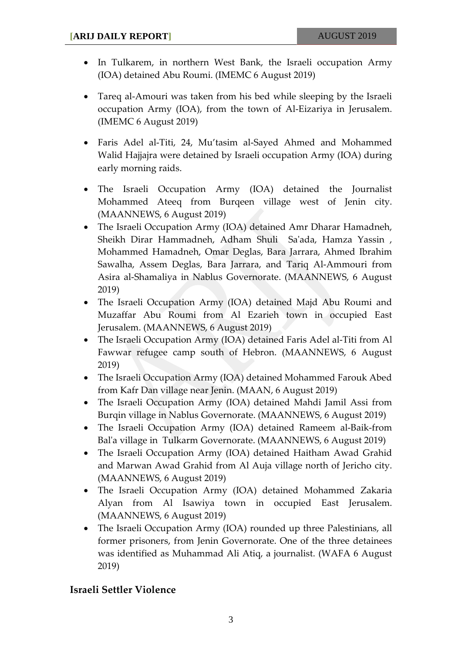- In Tulkarem, in northern West Bank, the Israeli occupation Army (IOA) detained Abu Roumi. (IMEMC 6 August 2019)
- Tareq al-Amouri was taken from his bed while sleeping by the Israeli occupation Army (IOA), from the town of Al-Eizariya in Jerusalem. (IMEMC 6 August 2019)
- Faris Adel al-Titi, 24, Mu'tasim al-Sayed Ahmed and Mohammed Walid Hajjajra were detained by Israeli occupation Army (IOA) during early morning raids.
- The Israeli Occupation Army (IOA) detained the Journalist Mohammed Ateeq from Burqeen village west of Jenin city. (MAANNEWS, 6 August 2019)
- The Israeli Occupation Army (IOA) detained Amr Dharar Hamadneh, Sheikh Dirar Hammadneh, Adham Shuli Sa'ada, Hamza Yassin , Mohammed Hamadneh, Omar Deglas, Bara Jarrara, Ahmed Ibrahim Sawalha, Assem Deglas, Bara Jarrara, and Tariq Al-Ammouri from Asira al-Shamaliya in Nablus Governorate. (MAANNEWS, 6 August 2019)
- The Israeli Occupation Army (IOA) detained Majd Abu Roumi and Muzaffar Abu Roumi from Al Ezarieh town in occupied East Jerusalem. (MAANNEWS, 6 August 2019)
- The Israeli Occupation Army (IOA) detained Faris Adel al-Titi from Al Fawwar refugee camp south of Hebron. (MAANNEWS, 6 August 2019)
- The Israeli Occupation Army (IOA) detained Mohammed Farouk Abed from Kafr Dan village near Jenin. (MAAN, 6 August 2019)
- The Israeli Occupation Army (IOA) detained Mahdi Jamil Assi from Burqin village in Nablus Governorate. (MAANNEWS, 6 August 2019)
- The Israeli Occupation Army (IOA) detained Rameem al-Baik-from Bal'a village in Tulkarm Governorate. (MAANNEWS, 6 August 2019)
- The Israeli Occupation Army (IOA) detained Haitham Awad Grahid and Marwan Awad Grahid from Al Auja village north of Jericho city. (MAANNEWS, 6 August 2019)
- The Israeli Occupation Army (IOA) detained Mohammed Zakaria Alyan from Al Isawiya town in occupied East Jerusalem. (MAANNEWS, 6 August 2019)
- The Israeli Occupation Army (IOA) rounded up three Palestinians, all former prisoners, from Jenin Governorate. One of the three detainees was identified as Muhammad Ali Atiq, a journalist. (WAFA 6 August 2019)

## **Israeli Settler Violence**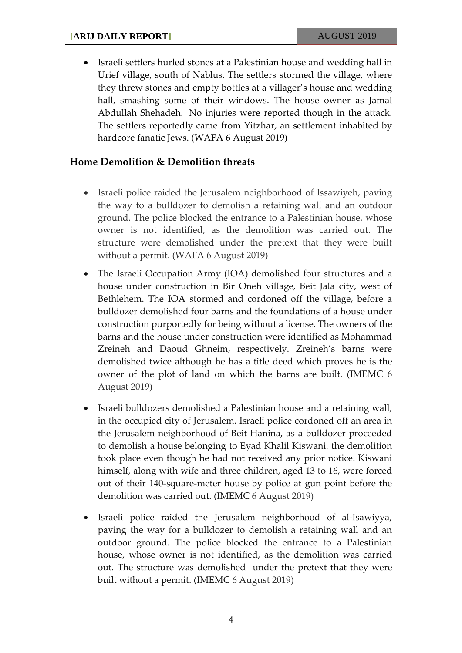• Israeli settlers hurled stones at a Palestinian house and wedding hall in Urief village, south of Nablus. The settlers stormed the village, where they threw stones and empty bottles at a villager's house and wedding hall, smashing some of their windows. The house owner as Jamal Abdullah Shehadeh. No injuries were reported though in the attack. The settlers reportedly came from Yitzhar, an settlement inhabited by hardcore fanatic Jews. (WAFA 6 August 2019)

#### **Home Demolition & Demolition threats**

- Israeli police raided the Jerusalem neighborhood of Issawiyeh, paving the way to a bulldozer to demolish a retaining wall and an outdoor ground. The police blocked the entrance to a Palestinian house, whose owner is not identified, as the demolition was carried out. The structure were demolished under the pretext that they were built without a permit. (WAFA 6 August 2019)
- The Israeli Occupation Army (IOA) demolished four structures and a house under construction in Bir Oneh village, Beit Jala city, west of Bethlehem. The IOA stormed and cordoned off the village, before a bulldozer demolished four barns and the foundations of a house under construction purportedly for being without a license. The owners of the barns and the house under construction were identified as Mohammad Zreineh and Daoud Ghneim, respectively. Zreineh's barns were demolished twice although he has a title deed which proves he is the owner of the plot of land on which the barns are built. (IMEMC 6 August 2019)
- Israeli bulldozers demolished a Palestinian house and a retaining wall, in the occupied city of Jerusalem. Israeli police cordoned off an area in the Jerusalem neighborhood of Beit Hanina, as a bulldozer proceeded to demolish a house belonging to Eyad Khalil Kiswani. the demolition took place even though he had not received any prior notice. Kiswani himself, along with wife and three children, aged 13 to 16, were forced out of their 140-square-meter house by police at gun point before the demolition was carried out. (IMEMC 6 August 2019)
- Israeli police raided the Jerusalem neighborhood of al-Isawiyya, paving the way for a bulldozer to demolish a retaining wall and an outdoor ground. The police blocked the entrance to a Palestinian house, whose owner is not identified, as the demolition was carried out. The structure was demolished under the pretext that they were built without a permit. (IMEMC 6 August 2019)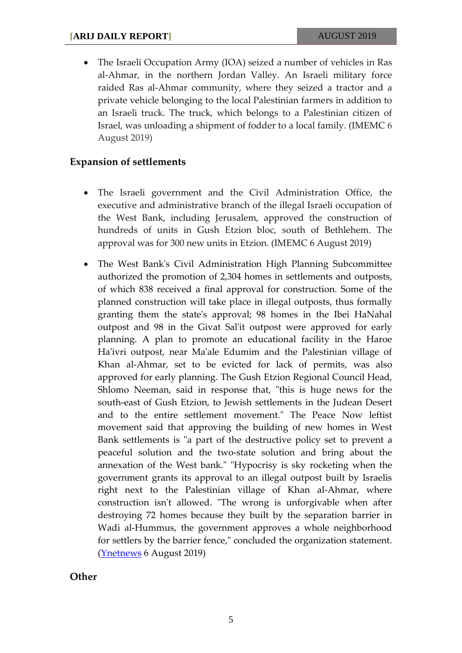• The Israeli Occupation Army (IOA) seized a number of vehicles in Ras al-Ahmar, in the northern Jordan Valley. An Israeli military force raided Ras al-Ahmar community, where they seized a tractor and a private vehicle belonging to the local Palestinian farmers in addition to an Israeli truck. The truck, which belongs to a Palestinian citizen of Israel, was unloading a shipment of fodder to a local family. (IMEMC 6 August 2019)

#### **Expansion of settlements**

- The Israeli government and the Civil Administration Office, the executive and administrative branch of the illegal Israeli occupation of the West Bank, including Jerusalem, approved the construction of hundreds of units in Gush Etzion bloc, south of Bethlehem. The approval was for 300 new units in Etzion. (IMEMC 6 August 2019)
- The West Bank's Civil Administration High Planning Subcommittee authorized the promotion of 2,304 homes in settlements and outposts, of which 838 received a final approval for construction. Some of the planned construction will take place in illegal outposts, thus formally granting them the state's approval; 98 homes in the Ibei HaNahal outpost and 98 in the Givat Sal'it outpost were approved for early planning. A plan to promote an educational facility in the Haroe Ha'ivri outpost, near Ma'ale Edumim and the Palestinian village of Khan al-Ahmar, set to be evicted for lack of permits, was also approved for early planning. The Gush Etzion Regional Council Head, Shlomo Neeman, said in response that, "this is huge news for the south-east of Gush Etzion, to Jewish settlements in the Judean Desert and to the entire settlement movement." The Peace Now leftist movement said that approving the building of new homes in West Bank settlements is "a part of the destructive policy set to prevent a peaceful solution and the two-state solution and bring about the annexation of the West bank." "Hypocrisy is sky rocketing when the government grants its approval to an illegal outpost built by Israelis right next to the Palestinian village of Khan al-Ahmar, where construction isn't allowed. "The wrong is unforgivable when after destroying 72 homes because they built by the separation barrier in Wadi al-Hummus, the government approves a whole neighborhood for settlers by the barrier fence," concluded the organization statement. [\(Ynetnews](https://www.ynetnews.com/articles/0,7340,L-5564867,00.html) 6 August 2019)

**Other**